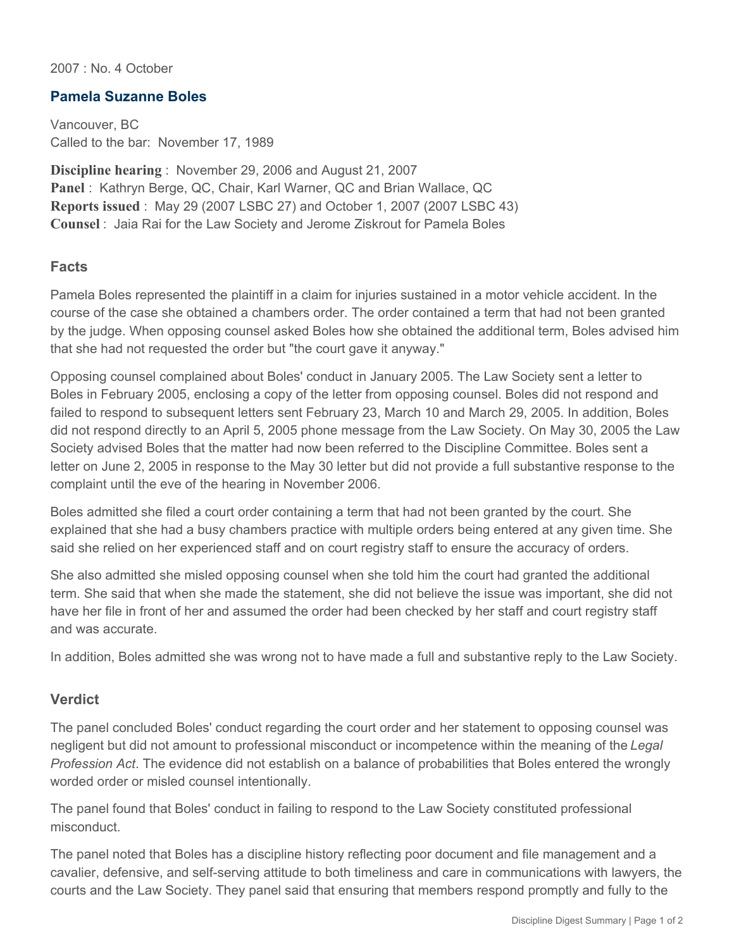2007 : No. 4 October

## **Pamela Suzanne Boles**

Vancouver, BC Called to the bar: November 17, 1989

**Discipline hearing** : November 29, 2006 and August 21, 2007 **Panel** : Kathryn Berge, QC, Chair, Karl Warner, QC and Brian Wallace, QC **Reports issued** : May 29 (2007 LSBC 27) and October 1, 2007 (2007 LSBC 43) **Counsel** : Jaia Rai for the Law Society and Jerome Ziskrout for Pamela Boles

## **Facts**

Pamela Boles represented the plaintiff in a claim for injuries sustained in a motor vehicle accident. In the course of the case she obtained a chambers order. The order contained a term that had not been granted by the judge. When opposing counsel asked Boles how she obtained the additional term, Boles advised him that she had not requested the order but "the court gave it anyway."

Opposing counsel complained about Boles' conduct in January 2005. The Law Society sent a letter to Boles in February 2005, enclosing a copy of the letter from opposing counsel. Boles did not respond and failed to respond to subsequent letters sent February 23, March 10 and March 29, 2005. In addition, Boles did not respond directly to an April 5, 2005 phone message from the Law Society. On May 30, 2005 the Law Society advised Boles that the matter had now been referred to the Discipline Committee. Boles sent a letter on June 2, 2005 in response to the May 30 letter but did not provide a full substantive response to the complaint until the eve of the hearing in November 2006.

Boles admitted she filed a court order containing a term that had not been granted by the court. She explained that she had a busy chambers practice with multiple orders being entered at any given time. She said she relied on her experienced staff and on court registry staff to ensure the accuracy of orders.

She also admitted she misled opposing counsel when she told him the court had granted the additional term. She said that when she made the statement, she did not believe the issue was important, she did not have her file in front of her and assumed the order had been checked by her staff and court registry staff and was accurate.

In addition, Boles admitted she was wrong not to have made a full and substantive reply to the Law Society.

## **Verdict**

The panel concluded Boles' conduct regarding the court order and her statement to opposing counsel was negligent but did not amount to professional misconduct or incompetence within the meaning of the *Legal Profession Act*. The evidence did not establish on a balance of probabilities that Boles entered the wrongly worded order or misled counsel intentionally.

The panel found that Boles' conduct in failing to respond to the Law Society constituted professional misconduct.

The panel noted that Boles has a discipline history reflecting poor document and file management and a cavalier, defensive, and self-serving attitude to both timeliness and care in communications with lawyers, the courts and the Law Society. They panel said that ensuring that members respond promptly and fully to the